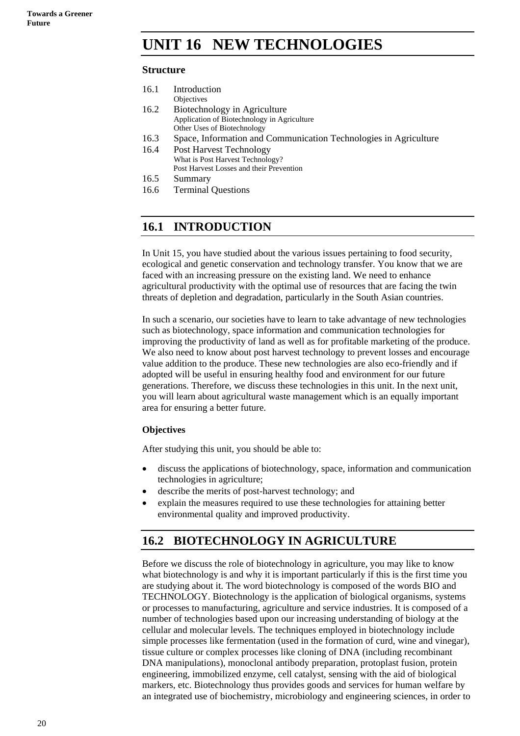# **UNIT 16 NEW TECHNOLOGIES**

## **Structure**

| 16.1 | Introduction                                                     |
|------|------------------------------------------------------------------|
|      | Objectives                                                       |
| 16.2 | Biotechnology in Agriculture                                     |
|      | Application of Biotechnology in Agriculture                      |
|      | Other Uses of Biotechnology                                      |
| 16.3 | Space, Information and Communication Technologies in Agriculture |
| 16.4 | <b>Post Harvest Technology</b>                                   |
|      | What is Post Harvest Technology?                                 |
|      | Post Harvest Losses and their Prevention                         |
| 16.5 | Summary                                                          |
| 16.6 | <b>Terminal Questions</b>                                        |
|      |                                                                  |

## **16.1 INTRODUCTION**

In Unit 15, you have studied about the various issues pertaining to food security, ecological and genetic conservation and technology transfer. You know that we are faced with an increasing pressure on the existing land. We need to enhance agricultural productivity with the optimal use of resources that are facing the twin threats of depletion and degradation, particularly in the South Asian countries.

In such a scenario, our societies have to learn to take advantage of new technologies such as biotechnology, space information and communication technologies for improving the productivity of land as well as for profitable marketing of the produce. We also need to know about post harvest technology to prevent losses and encourage value addition to the produce. These new technologies are also eco-friendly and if adopted will be useful in ensuring healthy food and environment for our future generations. Therefore, we discuss these technologies in this unit. In the next unit, you will learn about agricultural waste management which is an equally important area for ensuring a better future.

## **Objectives**

After studying this unit, you should be able to:

- discuss the applications of biotechnology, space, information and communication technologies in agriculture;
- describe the merits of post-harvest technology; and
- explain the measures required to use these technologies for attaining better environmental quality and improved productivity.

## **16.2 BIOTECHNOLOGY IN AGRICULTURE**

Before we discuss the role of biotechnology in agriculture, you may like to know what biotechnology is and why it is important particularly if this is the first time you are studying about it. The word biotechnology is composed of the words BIO and TECHNOLOGY. Biotechnology is the application of biological organisms, systems or processes to manufacturing, agriculture and service industries. It is composed of a number of technologies based upon our increasing understanding of biology at the cellular and molecular levels. The techniques employed in biotechnology include simple processes like fermentation (used in the formation of curd, wine and vinegar), tissue culture or complex processes like cloning of DNA (including recombinant DNA manipulations), monoclonal antibody preparation, protoplast fusion, protein engineering, immobilized enzyme, cell catalyst, sensing with the aid of biological markers, etc. Biotechnology thus provides goods and services for human welfare by an integrated use of biochemistry, microbiology and engineering sciences, in order to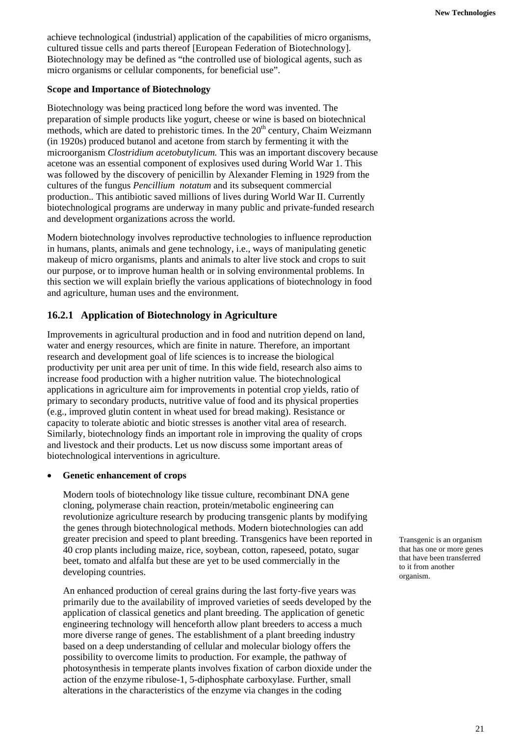achieve technological (industrial) application of the capabilities of micro organisms, cultured tissue cells and parts thereof [European Federation of Biotechnology]. Biotechnology may be defined as "the controlled use of biological agents, such as micro organisms or cellular components, for beneficial use".

## **Scope and Importance of Biotechnology**

Biotechnology was being practiced long before the word was invented. The preparation of simple products like yogurt, cheese or wine is based on biotechnical methods, which are dated to prehistoric times. In the  $20<sup>th</sup>$  century, Chaim Weizmann (in 1920s) produced butanol and acetone from starch by fermenting it with the microorganism *Clostridium acetobutylicum.* This was an important discovery because acetone was an essential component of explosives used during World War 1. This was followed by the discovery of penicillin by Alexander Fleming in 1929 from the cultures of the fungus *Pencillium notatum* and its subsequent commercial production.*.* This antibiotic saved millions of lives during World War II. Currently biotechnological programs are underway in many public and private-funded research and development organizations across the world.

Modern biotechnology involves reproductive technologies to influence reproduction in humans, plants, animals and gene technology, i.e., ways of manipulating genetic makeup of micro organisms, plants and animals to alter live stock and crops to suit our purpose, or to improve human health or in solving environmental problems. In this section we will explain briefly the various applications of biotechnology in food and agriculture, human uses and the environment.

## **16.2.1 Application of Biotechnology in Agriculture**

Improvements in agricultural production and in food and nutrition depend on land, water and energy resources, which are finite in nature. Therefore, an important research and development goal of life sciences is to increase the biological productivity per unit area per unit of time. In this wide field, research also aims to increase food production with a higher nutrition value. The biotechnological applications in agriculture aim for improvements in potential crop yields, ratio of primary to secondary products, nutritive value of food and its physical properties (e.g., improved glutin content in wheat used for bread making). Resistance or capacity to tolerate abiotic and biotic stresses is another vital area of research. Similarly, biotechnology finds an important role in improving the quality of crops and livestock and their products. Let us now discuss some important areas of biotechnological interventions in agriculture.

## • **Genetic enhancement of crops**

Modern tools of biotechnology like tissue culture, recombinant DNA gene cloning, polymerase chain reaction, protein/metabolic engineering can revolutionize agriculture research by producing transgenic plants by modifying the genes through biotechnological methods. Modern biotechnologies can add greater precision and speed to plant breeding. Transgenics have been reported in 40 crop plants including maize, rice, soybean, cotton, rapeseed, potato, sugar beet, tomato and alfalfa but these are yet to be used commercially in the developing countries.

An enhanced production of cereal grains during the last forty-five years was primarily due to the availability of improved varieties of seeds developed by the application of classical genetics and plant breeding. The application of genetic engineering technology will henceforth allow plant breeders to access a much more diverse range of genes. The establishment of a plant breeding industry based on a deep understanding of cellular and molecular biology offers the possibility to overcome limits to production. For example, the pathway of photosynthesis in temperate plants involves fixation of carbon dioxide under the action of the enzyme ribulose-1, 5-diphosphate carboxylase. Further, small alterations in the characteristics of the enzyme via changes in the coding

Transgenic is an organism that has one or more genes that have been transferred to it from another organism.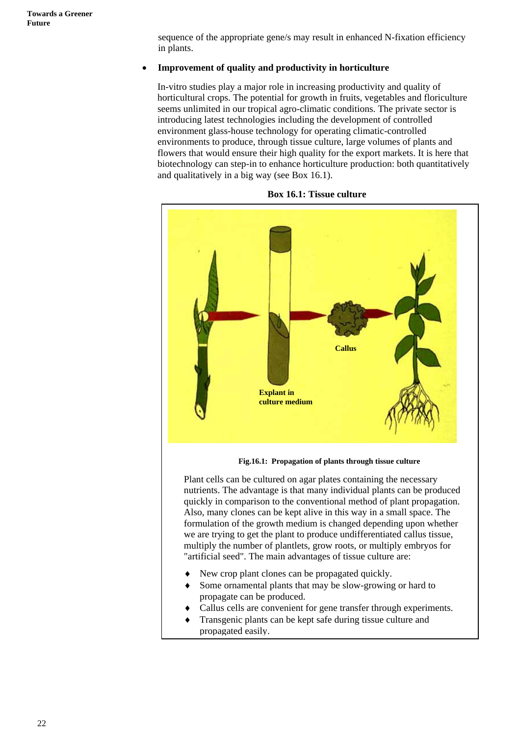sequence of the appropriate gene/s may result in enhanced N-fixation efficiency in plants.

## • **Improvement of quality and productivity in horticulture**

In-vitro studies play a major role in increasing productivity and quality of horticultural crops. The potential for growth in fruits, vegetables and floriculture seems unlimited in our tropical agro-climatic conditions. The private sector is introducing latest technologies including the development of controlled environment glass-house technology for operating climatic-controlled environments to produce, through tissue culture, large volumes of plants and flowers that would ensure their high quality for the export markets. It is here that biotechnology can step-in to enhance horticulture production: both quantitatively and qualitatively in a big way (see Box 16.1).



#### **Box 16.1: Tissue culture**

**Fig.16.1: Propagation of plants through tissue culture** 

Plant cells can be cultured on agar plates containing the necessary nutrients. The advantage is that many individual plants can be produced quickly in comparison to the conventional method of plant propagation. Also, many clones can be kept alive in this way in a small space. The formulation of the growth medium is changed depending upon whether we are trying to get the plant to produce undifferentiated callus tissue, multiply the number of plantlets, grow roots, or multiply embryos for "artificial seed". The main advantages of tissue culture are:

- New crop plant clones can be propagated quickly.
- Some ornamental plants that may be slow-growing or hard to propagate can be produced.
- Callus cells are convenient for gene transfer through experiments.
- Transgenic plants can be kept safe during tissue culture and propagated easily.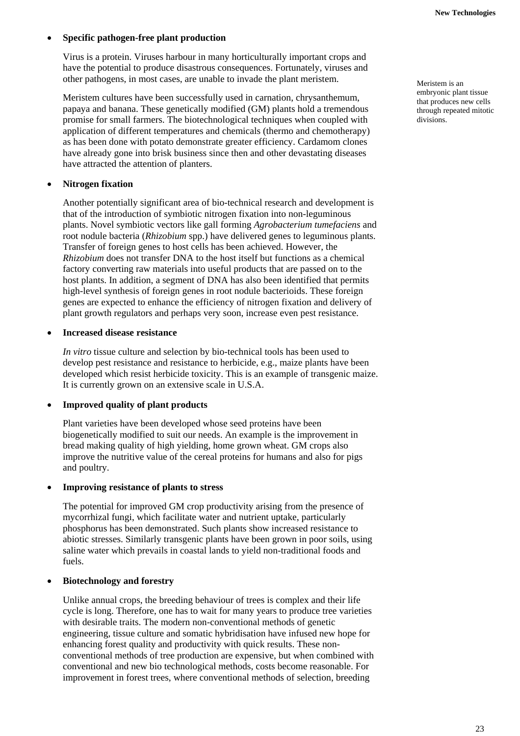## • **Specific pathogen-free plant production**

Virus is a protein. Viruses harbour in many horticulturally important crops and have the potential to produce disastrous consequences. Fortunately, viruses and other pathogens, in most cases, are unable to invade the plant meristem.

Meristem cultures have been successfully used in carnation, chrysanthemum, papaya and banana. These genetically modified (GM) plants hold a tremendous promise for small farmers. The biotechnological techniques when coupled with application of different temperatures and chemicals (thermo and chemotherapy) as has been done with potato demonstrate greater efficiency. Cardamom clones have already gone into brisk business since then and other devastating diseases have attracted the attention of planters.

#### • **Nitrogen fixation**

Another potentially significant area of bio-technical research and development is that of the introduction of symbiotic nitrogen fixation into non-leguminous plants. Novel symbiotic vectors like gall forming *Agrobacterium tumefaciens* and root nodule bacteria (*Rhizobium* spp.) have delivered genes to leguminous plants. Transfer of foreign genes to host cells has been achieved. However, the *Rhizobium* does not transfer DNA to the host itself but functions as a chemical factory converting raw materials into useful products that are passed on to the host plants. In addition, a segment of DNA has also been identified that permits high-level synthesis of foreign genes in root nodule bacterioids. These foreign genes are expected to enhance the efficiency of nitrogen fixation and delivery of plant growth regulators and perhaps very soon, increase even pest resistance.

#### • **Increased disease resistance**

*In vitro* tissue culture and selection by bio-technical tools has been used to develop pest resistance and resistance to herbicide, e.g., maize plants have been developed which resist herbicide toxicity. This is an example of transgenic maize. It is currently grown on an extensive scale in U.S.A.

## • **Improved quality of plant products**

Plant varieties have been developed whose seed proteins have been biogenetically modified to suit our needs. An example is the improvement in bread making quality of high yielding, home grown wheat. GM crops also improve the nutritive value of the cereal proteins for humans and also for pigs and poultry.

#### • **Improving resistance of plants to stress**

The potential for improved GM crop productivity arising from the presence of mycorrhizal fungi, which facilitate water and nutrient uptake, particularly phosphorus has been demonstrated. Such plants show increased resistance to abiotic stresses. Similarly transgenic plants have been grown in poor soils, using saline water which prevails in coastal lands to yield non-traditional foods and fuels.

## • **Biotechnology and forestry**

Unlike annual crops, the breeding behaviour of trees is complex and their life cycle is long. Therefore, one has to wait for many years to produce tree varieties with desirable traits. The modern non-conventional methods of genetic engineering, tissue culture and somatic hybridisation have infused new hope for enhancing forest quality and productivity with quick results. These nonconventional methods of tree production are expensive, but when combined with conventional and new bio technological methods, costs become reasonable. For improvement in forest trees, where conventional methods of selection, breeding

Meristem is an embryonic plant tissue that produces new cells through repeated mitotic divisions.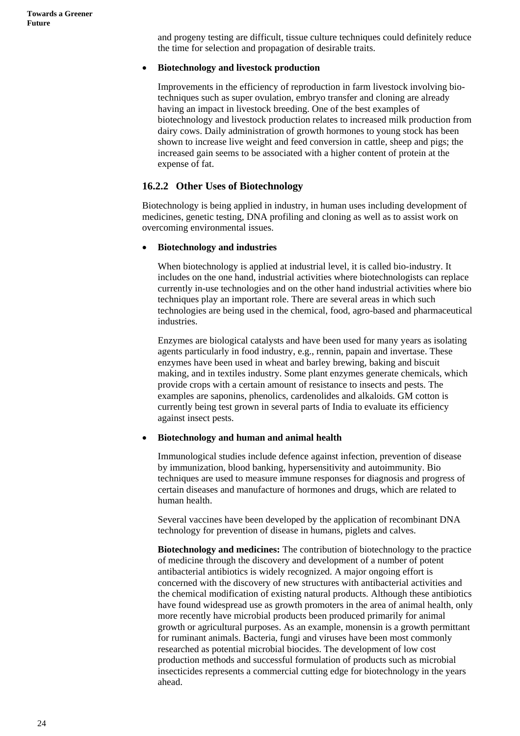and progeny testing are difficult, tissue culture techniques could definitely reduce the time for selection and propagation of desirable traits.

#### • **Biotechnology and livestock production**

Improvements in the efficiency of reproduction in farm livestock involving biotechniques such as super ovulation, embryo transfer and cloning are already having an impact in livestock breeding. One of the best examples of biotechnology and livestock production relates to increased milk production from dairy cows. Daily administration of growth hormones to young stock has been shown to increase live weight and feed conversion in cattle, sheep and pigs; the increased gain seems to be associated with a higher content of protein at the expense of fat.

## **16.2.2 Other Uses of Biotechnology**

Biotechnology is being applied in industry, in human uses including development of medicines, genetic testing, DNA profiling and cloning as well as to assist work on overcoming environmental issues.

#### • **Biotechnology and industries**

When biotechnology is applied at industrial level, it is called bio-industry. It includes on the one hand, industrial activities where biotechnologists can replace currently in-use technologies and on the other hand industrial activities where bio techniques play an important role. There are several areas in which such technologies are being used in the chemical, food, agro-based and pharmaceutical industries.

Enzymes are biological catalysts and have been used for many years as isolating agents particularly in food industry, e.g., rennin, papain and invertase. These enzymes have been used in wheat and barley brewing, baking and biscuit making, and in textiles industry. Some plant enzymes generate chemicals, which provide crops with a certain amount of resistance to insects and pests. The examples are saponins, phenolics, cardenolides and alkaloids. GM cotton is currently being test grown in several parts of India to evaluate its efficiency against insect pests.

## • **Biotechnology and human and animal health**

Immunological studies include defence against infection, prevention of disease by immunization, blood banking, hypersensitivity and autoimmunity. Bio techniques are used to measure immune responses for diagnosis and progress of certain diseases and manufacture of hormones and drugs, which are related to human health.

Several vaccines have been developed by the application of recombinant DNA technology for prevention of disease in humans, piglets and calves.

**Biotechnology and medicines:** The contribution of biotechnology to the practice of medicine through the discovery and development of a number of potent antibacterial antibiotics is widely recognized. A major ongoing effort is concerned with the discovery of new structures with antibacterial activities and the chemical modification of existing natural products. Although these antibiotics have found widespread use as growth promoters in the area of animal health, only more recently have microbial products been produced primarily for animal growth or agricultural purposes. As an example, monensin is a growth permittant for ruminant animals. Bacteria, fungi and viruses have been most commonly researched as potential microbial biocides. The development of low cost production methods and successful formulation of products such as microbial insecticides represents a commercial cutting edge for biotechnology in the years ahead.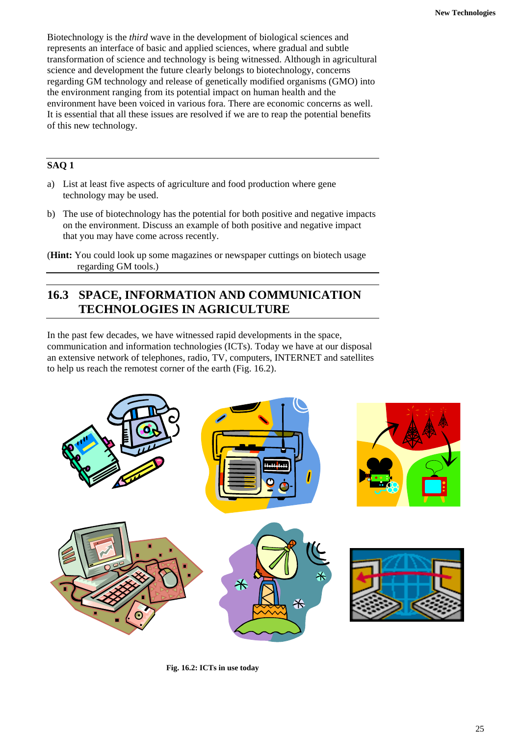Biotechnology is the *third* wave in the development of biological sciences and represents an interface of basic and applied sciences, where gradual and subtle transformation of science and technology is being witnessed. Although in agricultural science and development the future clearly belongs to biotechnology, concerns regarding GM technology and release of genetically modified organisms (GMO) into the environment ranging from its potential impact on human health and the environment have been voiced in various fora. There are economic concerns as well. It is essential that all these issues are resolved if we are to reap the potential benefits of this new technology.

## **SAQ 1**

- a) List at least five aspects of agriculture and food production where gene technology may be used.
- b) The use of biotechnology has the potential for both positive and negative impacts on the environment. Discuss an example of both positive and negative impact that you may have come across recently.

## **16.3 SPACE, INFORMATION AND COMMUNICATION TECHNOLOGIES IN AGRICULTURE**

In the past few decades, we have witnessed rapid developments in the space, communication and information technologies (ICTs). Today we have at our disposal an extensive network of telephones, radio, TV, computers, INTERNET and satellites to help us reach the remotest corner of the earth (Fig. 16.2).



**Fig. 16.2: ICTs in use today** 

<sup>(</sup>**Hint:** You could look up some magazines or newspaper cuttings on biotech usage regarding GM tools.)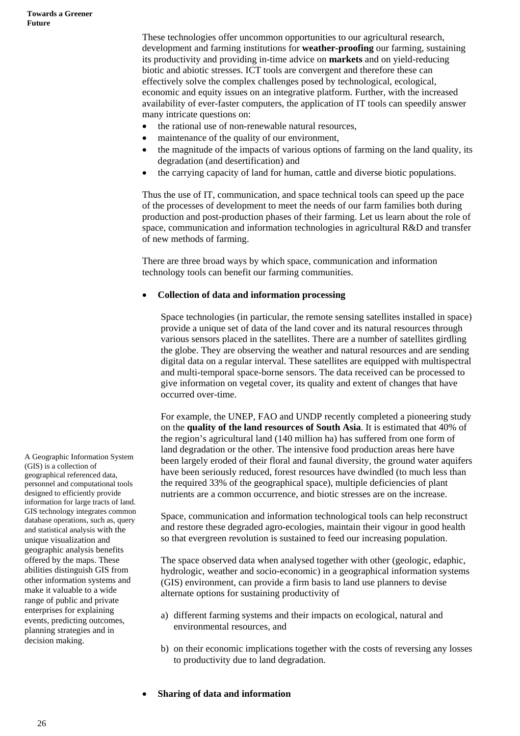These technologies offer uncommon opportunities to our agricultural research, development and farming institutions for **weather-proofing** our farming, sustaining its productivity and providing in-time advice on **markets** and on yield-reducing biotic and abiotic stresses. ICT tools are convergent and therefore these can effectively solve the complex challenges posed by technological, ecological, economic and equity issues on an integrative platform. Further, with the increased availability of ever-faster computers, the application of IT tools can speedily answer many intricate questions on:

- the rational use of non-renewable natural resources,
- maintenance of the quality of our environment,
- the magnitude of the impacts of various options of farming on the land quality, its degradation (and desertification) and
- the carrying capacity of land for human, cattle and diverse biotic populations.

Thus the use of IT, communication, and space technical tools can speed up the pace of the processes of development to meet the needs of our farm families both during production and post-production phases of their farming. Let us learn about the role of space, communication and information technologies in agricultural R&D and transfer of new methods of farming.

There are three broad ways by which space, communication and information technology tools can benefit our farming communities.

#### • **Collection of data and information processing**

Space technologies (in particular, the remote sensing satellites installed in space) provide a unique set of data of the land cover and its natural resources through various sensors placed in the satellites. There are a number of satellites girdling the globe. They are observing the weather and natural resources and are sending digital data on a regular interval. These satellites are equipped with multispectral and multi-temporal space-borne sensors. The data received can be processed to give information on vegetal cover, its quality and extent of changes that have occurred over-time.

For example, the UNEP, FAO and UNDP recently completed a pioneering study on the **quality of the land resources of South Asia**. It is estimated that 40% of the region's agricultural land (140 million ha) has suffered from one form of land degradation or the other. The intensive food production areas here have been largely eroded of their floral and faunal diversity, the ground water aquifers have been seriously reduced, forest resources have dwindled (to much less than the required 33% of the geographical space), multiple deficiencies of plant nutrients are a common occurrence, and biotic stresses are on the increase.

Space, communication and information technological tools can help reconstruct and restore these degraded agro-ecologies, maintain their vigour in good health so that evergreen revolution is sustained to feed our increasing population.

The space observed data when analysed together with other (geologic, edaphic, hydrologic, weather and socio-economic) in a geographical information systems (GIS) environment, can provide a firm basis to land use planners to devise alternate options for sustaining productivity of

- a) different farming systems and their impacts on ecological, natural and environmental resources, and
- b) on their economic implications together with the costs of reversing any losses to productivity due to land degradation.

A Geographic Information System (GIS) is a collection of geographical referenced data, personnel and computational tools designed to efficiently provide information for large tracts of land. GIS technology integrates common database operations, such as, query and statistical analysis with the unique visualization and geographic analysis benefits offered by the maps. These abilities distinguish GIS from other information systems and make it valuable to a wide range of public and private enterprises for explaining events, predicting outcomes, planning strategies and in decision making.

• **Sharing of data and information**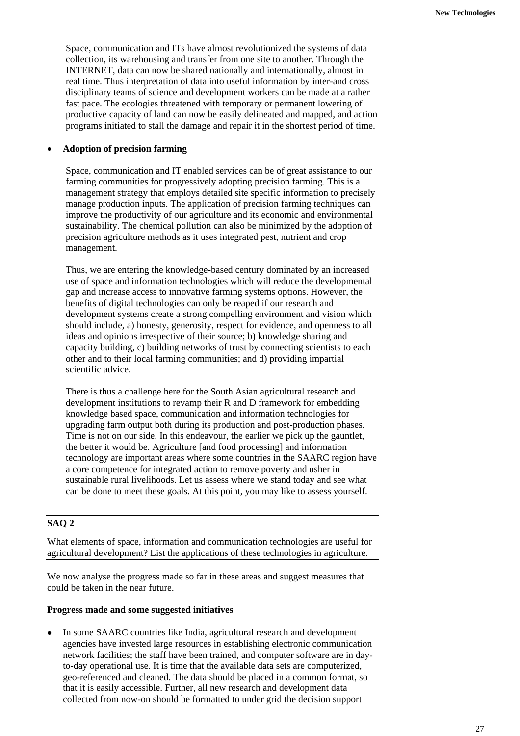Space, communication and ITs have almost revolutionized the systems of data collection, its warehousing and transfer from one site to another. Through the INTERNET, data can now be shared nationally and internationally, almost in real time. Thus interpretation of data into useful information by inter-and cross disciplinary teams of science and development workers can be made at a rather fast pace. The ecologies threatened with temporary or permanent lowering of productive capacity of land can now be easily delineated and mapped, and action programs initiated to stall the damage and repair it in the shortest period of time.

#### • **Adoption of precision farming**

Space, communication and IT enabled services can be of great assistance to our farming communities for progressively adopting precision farming. This is a management strategy that employs detailed site specific information to precisely manage production inputs. The application of precision farming techniques can improve the productivity of our agriculture and its economic and environmental sustainability. The chemical pollution can also be minimized by the adoption of precision agriculture methods as it uses integrated pest, nutrient and crop management.

Thus, we are entering the knowledge-based century dominated by an increased use of space and information technologies which will reduce the developmental gap and increase access to innovative farming systems options. However, the benefits of digital technologies can only be reaped if our research and development systems create a strong compelling environment and vision which should include, a) honesty, generosity, respect for evidence, and openness to all ideas and opinions irrespective of their source; b) knowledge sharing and capacity building, c) building networks of trust by connecting scientists to each other and to their local farming communities; and d) providing impartial scientific advice.

There is thus a challenge here for the South Asian agricultural research and development institutions to revamp their R and D framework for embedding knowledge based space, communication and information technologies for upgrading farm output both during its production and post-production phases. Time is not on our side. In this endeavour, the earlier we pick up the gauntlet, the better it would be. Agriculture [and food processing] and information technology are important areas where some countries in the SAARC region have a core competence for integrated action to remove poverty and usher in sustainable rural livelihoods. Let us assess where we stand today and see what can be done to meet these goals. At this point, you may like to assess yourself.

## **SAQ 2**

What elements of space, information and communication technologies are useful for agricultural development? List the applications of these technologies in agriculture.

We now analyse the progress made so far in these areas and suggest measures that could be taken in the near future.

#### **Progress made and some suggested initiatives**

• In some SAARC countries like India, agricultural research and development agencies have invested large resources in establishing electronic communication network facilities; the staff have been trained, and computer software are in dayto-day operational use. It is time that the available data sets are computerized, geo-referenced and cleaned. The data should be placed in a common format, so that it is easily accessible. Further, all new research and development data collected from now-on should be formatted to under grid the decision support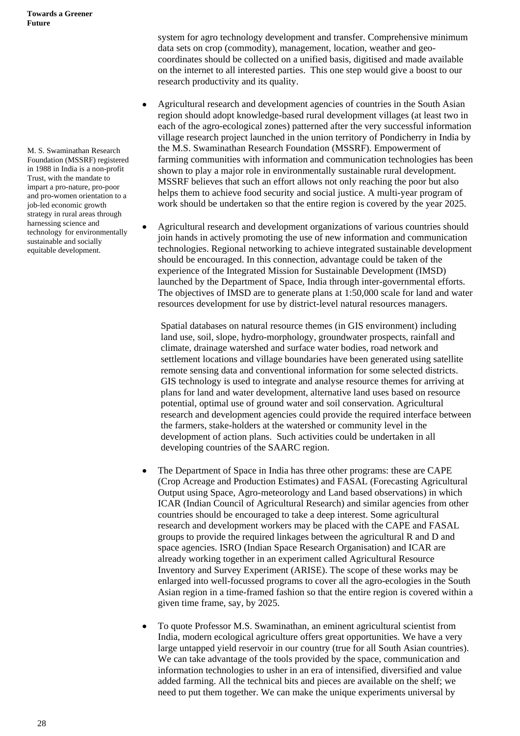M. S. Swaminathan Research Foundation (MSSRF) registered in 1988 in India is a non-profit Trust, with the mandate to impart a pro-nature, pro-poor and pro-women orientation to a job-led economic growth strategy in rural areas through harnessing science and technology for environmentally sustainable and socially equitable development.

system for agro technology development and transfer. Comprehensive minimum data sets on crop (commodity), management, location, weather and geocoordinates should be collected on a unified basis, digitised and made available on the internet to all interested parties. This one step would give a boost to our research productivity and its quality.

- Agricultural research and development agencies of countries in the South Asian region should adopt knowledge-based rural development villages (at least two in each of the agro-ecological zones) patterned after the very successful information village research project launched in the union territory of Pondicherry in India by the M.S. Swaminathan Research Foundation (MSSRF). Empowerment of farming communities with information and communication technologies has been shown to play a major role in environmentally sustainable rural development. MSSRF believes that such an effort allows not only reaching the poor but also helps them to achieve food security and social justice. A multi-year program of work should be undertaken so that the entire region is covered by the year 2025.
- Agricultural research and development organizations of various countries should join hands in actively promoting the use of new information and communication technologies. Regional networking to achieve integrated sustainable development should be encouraged. In this connection, advantage could be taken of the experience of the Integrated Mission for Sustainable Development (IMSD) launched by the Department of Space, India through inter-governmental efforts. The objectives of IMSD are to generate plans at 1:50,000 scale for land and water resources development for use by district-level natural resources managers.

Spatial databases on natural resource themes (in GIS environment) including land use, soil, slope, hydro-morphology, groundwater prospects, rainfall and climate, drainage watershed and surface water bodies, road network and settlement locations and village boundaries have been generated using satellite remote sensing data and conventional information for some selected districts. GIS technology is used to integrate and analyse resource themes for arriving at plans for land and water development, alternative land uses based on resource potential, optimal use of ground water and soil conservation. Agricultural research and development agencies could provide the required interface between the farmers, stake-holders at the watershed or community level in the development of action plans. Such activities could be undertaken in all developing countries of the SAARC region.

- The Department of Space in India has three other programs: these are CAPE (Crop Acreage and Production Estimates) and FASAL (Forecasting Agricultural Output using Space, Agro-meteorology and Land based observations) in which ICAR (Indian Council of Agricultural Research) and similar agencies from other countries should be encouraged to take a deep interest. Some agricultural research and development workers may be placed with the CAPE and FASAL groups to provide the required linkages between the agricultural R and D and space agencies. ISRO (Indian Space Research Organisation) and ICAR are already working together in an experiment called Agricultural Resource Inventory and Survey Experiment (ARISE). The scope of these works may be enlarged into well-focussed programs to cover all the agro-ecologies in the South Asian region in a time-framed fashion so that the entire region is covered within a given time frame, say, by 2025.
- To quote Professor M.S. Swaminathan, an eminent agricultural scientist from India, modern ecological agriculture offers great opportunities. We have a very large untapped yield reservoir in our country (true for all South Asian countries). We can take advantage of the tools provided by the space, communication and information technologies to usher in an era of intensified, diversified and value added farming. All the technical bits and pieces are available on the shelf; we need to put them together. We can make the unique experiments universal by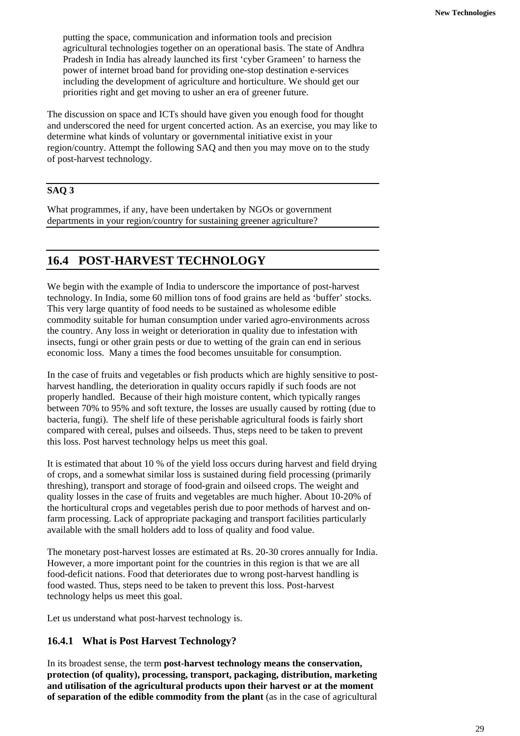putting the space, communication and information tools and precision agricultural technologies together on an operational basis. The state of Andhra Pradesh in India has already launched its first 'cyber Grameen' to harness the power of internet broad band for providing one-stop destination e-services including the development of agriculture and horticulture. We should get our priorities right and get moving to usher an era of greener future.

The discussion on space and ICTs should have given you enough food for thought and underscored the need for urgent concerted action. As an exercise, you may like to determine what kinds of voluntary or governmental initiative exist in your region/country. Attempt the following SAQ and then you may move on to the study of post-harvest technology.

## **SAQ 3**

What programmes, if any, have been undertaken by NGOs or government departments in your region/country for sustaining greener agriculture?

## **16.4 POST-HARVEST TECHNOLOGY**

We begin with the example of India to underscore the importance of post-harvest technology. In India, some 60 million tons of food grains are held as 'buffer' stocks. This very large quantity of food needs to be sustained as wholesome edible commodity suitable for human consumption under varied agro-environments across the country. Any loss in weight or deterioration in quality due to infestation with insects, fungi or other grain pests or due to wetting of the grain can end in serious economic loss. Many a times the food becomes unsuitable for consumption.

In the case of fruits and vegetables or fish products which are highly sensitive to postharvest handling, the deterioration in quality occurs rapidly if such foods are not properly handled. Because of their high moisture content, which typically ranges between 70% to 95% and soft texture, the losses are usually caused by rotting (due to bacteria, fungi). The shelf life of these perishable agricultural foods is fairly short compared with cereal, pulses and oilseeds. Thus, steps need to be taken to prevent this loss. Post harvest technology helps us meet this goal.

It is estimated that about 10 % of the yield loss occurs during harvest and field drying of crops, and a somewhat similar loss is sustained during field processing (primarily threshing), transport and storage of food-grain and oilseed crops. The weight and quality losses in the case of fruits and vegetables are much higher. About 10-20% of the horticultural crops and vegetables perish due to poor methods of harvest and onfarm processing. Lack of appropriate packaging and transport facilities particularly available with the small holders add to loss of quality and food value.

The monetary post-harvest losses are estimated at Rs. 20-30 crores annually for India. However, a more important point for the countries in this region is that we are all food-deficit nations. Food that deteriorates due to wrong post-harvest handling is food wasted. Thus, steps need to be taken to prevent this loss. Post-harvest technology helps us meet this goal.

Let us understand what post-harvest technology is.

## **16.4.1 What is Post Harvest Technology?**

In its broadest sense, the term **post-harvest technology means the conservation, protection (of quality), processing, transport, packaging, distribution, marketing and utilisation of the agricultural products upon their harvest or at the moment of separation of the edible commodity from the plant** (as in the case of agricultural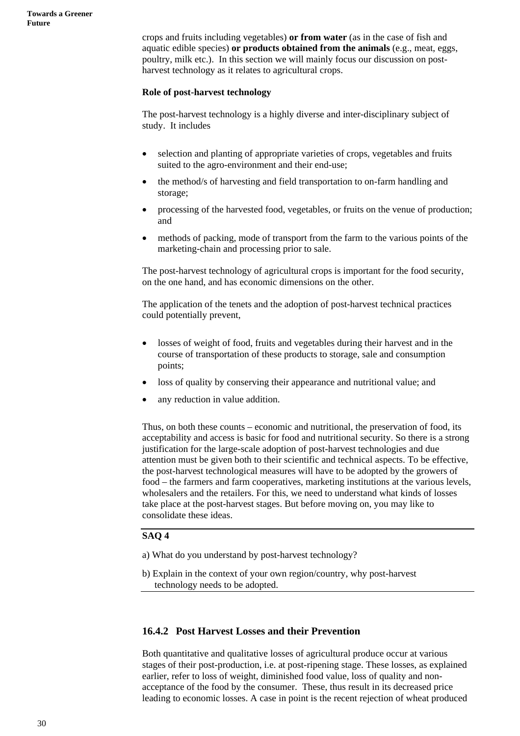crops and fruits including vegetables) **or from water** (as in the case of fish and aquatic edible species) **or products obtained from the animals** (e.g., meat, eggs, poultry, milk etc.). In this section we will mainly focus our discussion on postharvest technology as it relates to agricultural crops.

#### **Role of post-harvest technology**

The post-harvest technology is a highly diverse and inter-disciplinary subject of study. It includes

- selection and planting of appropriate varieties of crops, vegetables and fruits suited to the agro-environment and their end-use;
- the method/s of harvesting and field transportation to on-farm handling and storage;
- processing of the harvested food, vegetables, or fruits on the venue of production; and
- methods of packing, mode of transport from the farm to the various points of the marketing-chain and processing prior to sale.

The post-harvest technology of agricultural crops is important for the food security, on the one hand, and has economic dimensions on the other.

The application of the tenets and the adoption of post-harvest technical practices could potentially prevent,

- losses of weight of food, fruits and vegetables during their harvest and in the course of transportation of these products to storage, sale and consumption points;
- loss of quality by conserving their appearance and nutritional value; and
- any reduction in value addition.

Thus, on both these counts – economic and nutritional, the preservation of food, its acceptability and access is basic for food and nutritional security. So there is a strong justification for the large-scale adoption of post-harvest technologies and due attention must be given both to their scientific and technical aspects. To be effective, the post-harvest technological measures will have to be adopted by the growers of food – the farmers and farm cooperatives, marketing institutions at the various levels, wholesalers and the retailers. For this, we need to understand what kinds of losses take place at the post-harvest stages. But before moving on, you may like to consolidate these ideas.

## **SAQ 4**

- a) What do you understand by post-harvest technology?
- b) Explain in the context of your own region/country, why post-harvest technology needs to be adopted.

## **16.4.2 Post Harvest Losses and their Prevention**

Both quantitative and qualitative losses of agricultural produce occur at various stages of their post-production, i.e. at post-ripening stage. These losses, as explained earlier, refer to loss of weight, diminished food value, loss of quality and nonacceptance of the food by the consumer. These, thus result in its decreased price leading to economic losses. A case in point is the recent rejection of wheat produced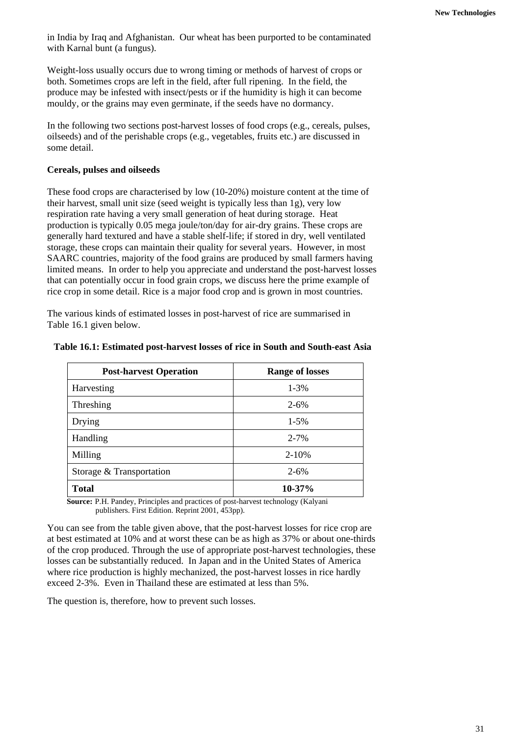in India by Iraq and Afghanistan. Our wheat has been purported to be contaminated with Karnal bunt (a fungus).

Weight-loss usually occurs due to wrong timing or methods of harvest of crops or both. Sometimes crops are left in the field, after full ripening. In the field, the produce may be infested with insect/pests or if the humidity is high it can become mouldy, or the grains may even germinate, if the seeds have no dormancy.

In the following two sections post-harvest losses of food crops (e.g., cereals, pulses, oilseeds) and of the perishable crops (e.g., vegetables, fruits etc.) are discussed in some detail.

## **Cereals, pulses and oilseeds**

These food crops are characterised by low (10-20%) moisture content at the time of their harvest, small unit size (seed weight is typically less than 1g), very low respiration rate having a very small generation of heat during storage. Heat production is typically 0.05 mega joule/ton/day for air-dry grains. These crops are generally hard textured and have a stable shelf-life; if stored in dry, well ventilated storage, these crops can maintain their quality for several years. However, in most SAARC countries, majority of the food grains are produced by small farmers having limited means. In order to help you appreciate and understand the post-harvest losses that can potentially occur in food grain crops, we discuss here the prime example of rice crop in some detail. Rice is a major food crop and is grown in most countries.

The various kinds of estimated losses in post-harvest of rice are summarised in Table 16.1 given below.

| <b>Post-harvest Operation</b> | <b>Range of losses</b> |
|-------------------------------|------------------------|
| Harvesting                    | $1 - 3%$               |
| Threshing                     | $2 - 6\%$              |
| Drying                        | $1-5%$                 |
| Handling                      | $2 - 7%$               |
| Milling                       | $2 - 10%$              |
| Storage & Transportation      | $2 - 6\%$              |
| <b>Total</b>                  | $10 - 37\%$            |

#### **Table 16.1: Estimated post-harvest losses of rice in South and South-east Asia**

**Source:** P.H. Pandey, Principles and practices of post-harvest technology (Kalyani publishers. First Edition. Reprint 2001, 453pp).

You can see from the table given above, that the post-harvest losses for rice crop are at best estimated at 10% and at worst these can be as high as 37% or about one-thirds of the crop produced. Through the use of appropriate post-harvest technologies, these losses can be substantially reduced. In Japan and in the United States of America where rice production is highly mechanized, the post-harvest losses in rice hardly exceed 2-3%. Even in Thailand these are estimated at less than 5%.

The question is, therefore, how to prevent such losses.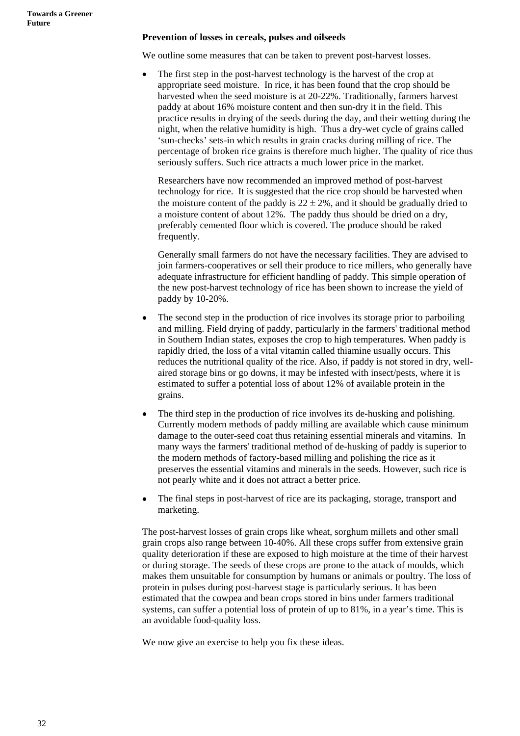#### **Prevention of losses in cereals, pulses and oilseeds**

We outline some measures that can be taken to prevent post-harvest losses.

The first step in the post-harvest technology is the harvest of the crop at appropriate seed moisture. In rice, it has been found that the crop should be harvested when the seed moisture is at 20-22%. Traditionally, farmers harvest paddy at about 16% moisture content and then sun-dry it in the field. This practice results in drying of the seeds during the day, and their wetting during the night, when the relative humidity is high. Thus a dry-wet cycle of grains called 'sun-checks' sets-in which results in grain cracks during milling of rice. The percentage of broken rice grains is therefore much higher. The quality of rice thus seriously suffers. Such rice attracts a much lower price in the market.

Researchers have now recommended an improved method of post-harvest technology for rice. It is suggested that the rice crop should be harvested when the moisture content of the paddy is  $22 \pm 2\%$ , and it should be gradually dried to a moisture content of about 12%. The paddy thus should be dried on a dry, preferably cemented floor which is covered. The produce should be raked frequently.

Generally small farmers do not have the necessary facilities. They are advised to join farmers-cooperatives or sell their produce to rice millers, who generally have adequate infrastructure for efficient handling of paddy. This simple operation of the new post-harvest technology of rice has been shown to increase the yield of paddy by 10-20%.

- The second step in the production of rice involves its storage prior to parboiling and milling. Field drying of paddy, particularly in the farmers' traditional method in Southern Indian states, exposes the crop to high temperatures. When paddy is rapidly dried, the loss of a vital vitamin called thiamine usually occurs. This reduces the nutritional quality of the rice. Also, if paddy is not stored in dry, wellaired storage bins or go downs, it may be infested with insect/pests, where it is estimated to suffer a potential loss of about 12% of available protein in the grains.
- The third step in the production of rice involves its de-husking and polishing. Currently modern methods of paddy milling are available which cause minimum damage to the outer-seed coat thus retaining essential minerals and vitamins. In many ways the farmers' traditional method of de-husking of paddy is superior to the modern methods of factory-based milling and polishing the rice as it preserves the essential vitamins and minerals in the seeds. However, such rice is not pearly white and it does not attract a better price.
- The final steps in post-harvest of rice are its packaging, storage, transport and marketing.

The post-harvest losses of grain crops like wheat, sorghum millets and other small grain crops also range between 10-40%. All these crops suffer from extensive grain quality deterioration if these are exposed to high moisture at the time of their harvest or during storage. The seeds of these crops are prone to the attack of moulds, which makes them unsuitable for consumption by humans or animals or poultry. The loss of protein in pulses during post-harvest stage is particularly serious. It has been estimated that the cowpea and bean crops stored in bins under farmers traditional systems, can suffer a potential loss of protein of up to 81%, in a year's time. This is an avoidable food-quality loss.

We now give an exercise to help you fix these ideas.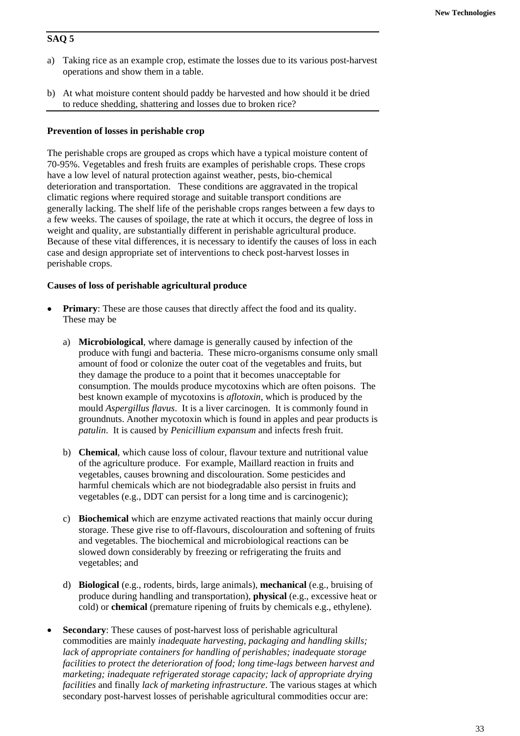## **SAQ 5**

- a) Taking rice as an example crop, estimate the losses due to its various post-harvest operations and show them in a table.
- b) At what moisture content should paddy be harvested and how should it be dried to reduce shedding, shattering and losses due to broken rice?

## **Prevention of losses in perishable crop**

The perishable crops are grouped as crops which have a typical moisture content of 70-95%. Vegetables and fresh fruits are examples of perishable crops. These crops have a low level of natural protection against weather, pests, bio-chemical deterioration and transportation. These conditions are aggravated in the tropical climatic regions where required storage and suitable transport conditions are generally lacking. The shelf life of the perishable crops ranges between a few days to a few weeks. The causes of spoilage, the rate at which it occurs, the degree of loss in weight and quality, are substantially different in perishable agricultural produce. Because of these vital differences, it is necessary to identify the causes of loss in each case and design appropriate set of interventions to check post-harvest losses in perishable crops.

## **Causes of loss of perishable agricultural produce**

- **Primary:** These are those causes that directly affect the food and its quality. These may be
	- a) **Microbiological**, where damage is generally caused by infection of the produce with fungi and bacteria. These micro-organisms consume only small amount of food or colonize the outer coat of the vegetables and fruits, but they damage the produce to a point that it becomes unacceptable for consumption. The moulds produce mycotoxins which are often poisons. The best known example of mycotoxins is *aflotoxin*, which is produced by the mould *Aspergillus flavus*. It is a liver carcinogen. It is commonly found in groundnuts. Another mycotoxin which is found in apples and pear products is *patulin*. It is caused by *Penicillium expansum* and infects fresh fruit.
	- b) **Chemical**, which cause loss of colour, flavour texture and nutritional value of the agriculture produce. For example, Maillard reaction in fruits and vegetables, causes browning and discolouration. Some pesticides and harmful chemicals which are not biodegradable also persist in fruits and vegetables (e.g., DDT can persist for a long time and is carcinogenic);
	- c) **Biochemical** which are enzyme activated reactions that mainly occur during storage. These give rise to off-flavours, discolouration and softening of fruits and vegetables. The biochemical and microbiological reactions can be slowed down considerably by freezing or refrigerating the fruits and vegetables; and
	- d) **Biological** (e.g., rodents, birds, large animals), **mechanical** (e.g., bruising of produce during handling and transportation), **physical** (e.g., excessive heat or cold) or **chemical** (premature ripening of fruits by chemicals e.g., ethylene).
- **Secondary:** These causes of post-harvest loss of perishable agricultural commodities are mainly *inadequate harvesting, packaging and handling skills; lack of appropriate containers for handling of perishables; inadequate storage facilities to protect the deterioration of food; long time-lags between harvest and marketing; inadequate refrigerated storage capacity; lack of appropriate drying facilities* and finally *lack of marketing infrastructure*. The various stages at which secondary post-harvest losses of perishable agricultural commodities occur are: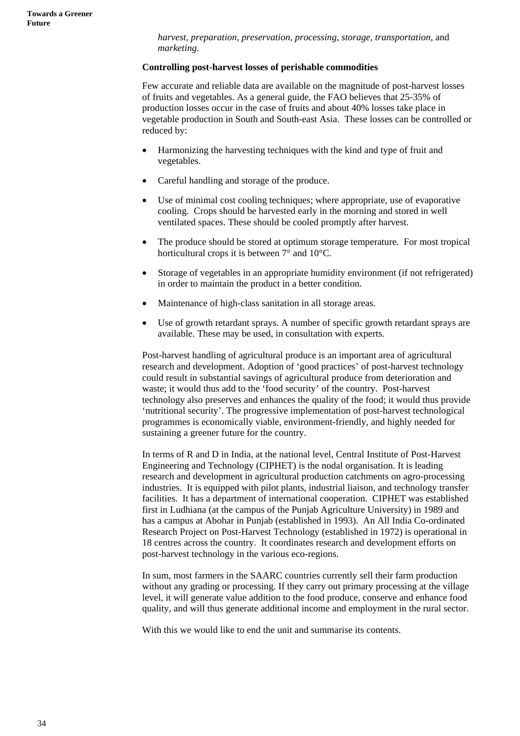*harvest, preparation, preservation, processing, storage, transportation,* and *marketing*.

#### **Controlling post-harvest losses of perishable commodities**

Few accurate and reliable data are available on the magnitude of post-harvest losses of fruits and vegetables. As a general guide, the FAO believes that 25-35% of production losses occur in the case of fruits and about 40% losses take place in vegetable production in South and South-east Asia. These losses can be controlled or reduced by:

- Harmonizing the harvesting techniques with the kind and type of fruit and vegetables.
- Careful handling and storage of the produce.
- Use of minimal cost cooling techniques; where appropriate, use of evaporative cooling. Crops should be harvested early in the morning and stored in well ventilated spaces. These should be cooled promptly after harvest.
- The produce should be stored at optimum storage temperature. For most tropical horticultural crops it is between 7° and 10°C.
- Storage of vegetables in an appropriate humidity environment (if not refrigerated) in order to maintain the product in a better condition.
- Maintenance of high-class sanitation in all storage areas.
- Use of growth retardant sprays. A number of specific growth retardant sprays are available. These may be used, in consultation with experts.

Post-harvest handling of agricultural produce is an important area of agricultural research and development. Adoption of 'good practices' of post-harvest technology could result in substantial savings of agricultural produce from deterioration and waste; it would thus add to the 'food security' of the country. Post-harvest technology also preserves and enhances the quality of the food; it would thus provide 'nutritional security'. The progressive implementation of post-harvest technological programmes is economically viable, environment-friendly, and highly needed for sustaining a greener future for the country.

In terms of R and D in India, at the national level, Central Institute of Post-Harvest Engineering and Technology (CIPHET) is the nodal organisation. It is leading research and development in agricultural production catchments on agro-processing industries. It is equipped with pilot plants, industrial liaison, and technology transfer facilities. It has a department of international cooperation. CIPHET was established first in Ludhiana (at the campus of the Punjab Agriculture University) in 1989 and has a campus at Abohar in Punjab (established in 1993). An All India Co-ordinated Research Project on Post-Harvest Technology (established in 1972) is operational in 18 centres across the country. It coordinates research and development efforts on post-harvest technology in the various eco-regions.

In sum, most farmers in the SAARC countries currently sell their farm production without any grading or processing. If they carry out primary processing at the village level, it will generate value addition to the food produce, conserve and enhance food quality, and will thus generate additional income and employment in the rural sector.

With this we would like to end the unit and summarise its contents.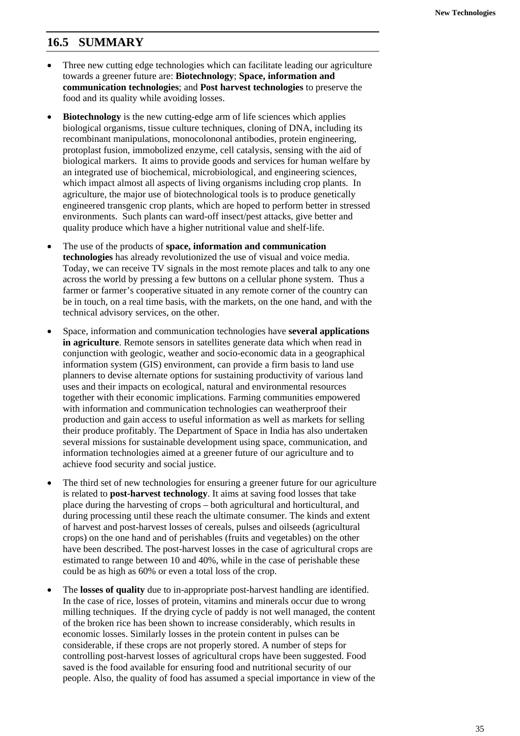## **16.5 SUMMARY**

- Three new cutting edge technologies which can facilitate leading our agriculture towards a greener future are: **Biotechnology**; **Space, information and communication technologies**; and **Post harvest technologies** to preserve the food and its quality while avoiding losses.
- **Biotechnology** is the new cutting-edge arm of life sciences which applies biological organisms, tissue culture techniques, cloning of DNA, including its recombinant manipulations, monocolononal antibodies, protein engineering, protoplast fusion, immobolized enzyme, cell catalysis, sensing with the aid of biological markers. It aims to provide goods and services for human welfare by an integrated use of biochemical, microbiological, and engineering sciences, which impact almost all aspects of living organisms including crop plants. In agriculture, the major use of biotechnological tools is to produce genetically engineered transgenic crop plants, which are hoped to perform better in stressed environments. Such plants can ward-off insect/pest attacks, give better and quality produce which have a higher nutritional value and shelf-life.
- The use of the products of **space, information and communication technologies** has already revolutionized the use of visual and voice media. Today, we can receive TV signals in the most remote places and talk to any one across the world by pressing a few buttons on a cellular phone system. Thus a farmer or farmer's cooperative situated in any remote corner of the country can be in touch, on a real time basis, with the markets, on the one hand, and with the technical advisory services, on the other.
- Space, information and communication technologies have **several applications in agriculture**. Remote sensors in satellites generate data which when read in conjunction with geologic, weather and socio-economic data in a geographical information system (GIS) environment, can provide a firm basis to land use planners to devise alternate options for sustaining productivity of various land uses and their impacts on ecological, natural and environmental resources together with their economic implications. Farming communities empowered with information and communication technologies can weatherproof their production and gain access to useful information as well as markets for selling their produce profitably. The Department of Space in India has also undertaken several missions for sustainable development using space, communication, and information technologies aimed at a greener future of our agriculture and to achieve food security and social justice.
- The third set of new technologies for ensuring a greener future for our agriculture is related to **post-harvest technology**. It aims at saving food losses that take place during the harvesting of crops – both agricultural and horticultural, and during processing until these reach the ultimate consumer. The kinds and extent of harvest and post-harvest losses of cereals, pulses and oilseeds (agricultural crops) on the one hand and of perishables (fruits and vegetables) on the other have been described. The post-harvest losses in the case of agricultural crops are estimated to range between 10 and 40%, while in the case of perishable these could be as high as 60% or even a total loss of the crop.
- The **losses of quality** due to in-appropriate post-harvest handling are identified. In the case of rice, losses of protein, vitamins and minerals occur due to wrong milling techniques. If the drying cycle of paddy is not well managed, the content of the broken rice has been shown to increase considerably, which results in economic losses. Similarly losses in the protein content in pulses can be considerable, if these crops are not properly stored. A number of steps for controlling post-harvest losses of agricultural crops have been suggested. Food saved is the food available for ensuring food and nutritional security of our people. Also, the quality of food has assumed a special importance in view of the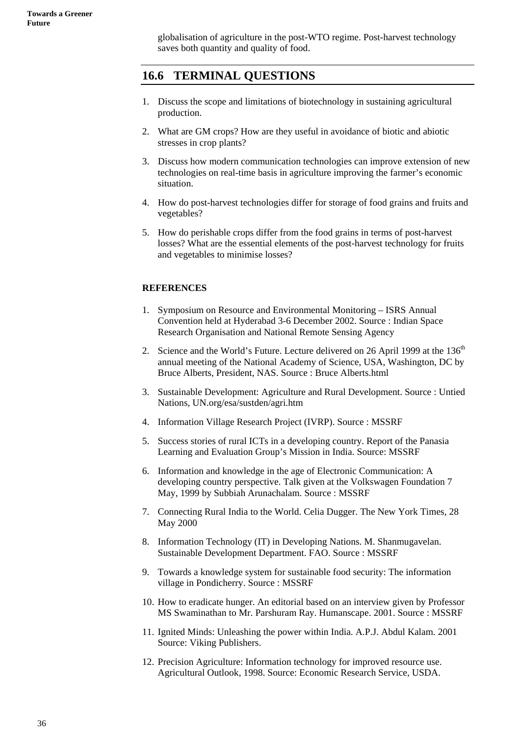globalisation of agriculture in the post-WTO regime. Post-harvest technology saves both quantity and quality of food.

## **16.6 TERMINAL QUESTIONS**

- 1. Discuss the scope and limitations of biotechnology in sustaining agricultural production.
- 2. What are GM crops? How are they useful in avoidance of biotic and abiotic stresses in crop plants?
- 3. Discuss how modern communication technologies can improve extension of new technologies on real-time basis in agriculture improving the farmer's economic situation.
- 4. How do post-harvest technologies differ for storage of food grains and fruits and vegetables?
- 5. How do perishable crops differ from the food grains in terms of post-harvest losses? What are the essential elements of the post-harvest technology for fruits and vegetables to minimise losses?

## **REFERENCES**

- 1. Symposium on Resource and Environmental Monitoring ISRS Annual Convention held at Hyderabad 3-6 December 2002. Source : Indian Space Research Organisation and National Remote Sensing Agency
- 2. Science and the World's Future. Lecture delivered on 26 April 1999 at the  $136<sup>th</sup>$ annual meeting of the National Academy of Science, USA, Washington, DC by Bruce Alberts, President, NAS. Source : Bruce Alberts.html
- 3. Sustainable Development: Agriculture and Rural Development. Source : Untied Nations, UN.org/esa/sustden/agri.htm
- 4. Information Village Research Project (IVRP). Source : MSSRF
- 5. Success stories of rural ICTs in a developing country. Report of the Panasia Learning and Evaluation Group's Mission in India. Source: MSSRF
- 6. Information and knowledge in the age of Electronic Communication: A developing country perspective. Talk given at the Volkswagen Foundation 7 May, 1999 by Subbiah Arunachalam. Source : MSSRF
- 7. Connecting Rural India to the World. Celia Dugger. The New York Times, 28 May 2000
- 8. Information Technology (IT) in Developing Nations. M. Shanmugavelan. Sustainable Development Department. FAO. Source : MSSRF
- 9. Towards a knowledge system for sustainable food security: The information village in Pondicherry. Source : MSSRF
- 10. How to eradicate hunger. An editorial based on an interview given by Professor MS Swaminathan to Mr. Parshuram Ray. Humanscape. 2001. Source : MSSRF
- 11. Ignited Minds: Unleashing the power within India. A.P.J. Abdul Kalam. 2001 Source: Viking Publishers.
- 12. Precision Agriculture: Information technology for improved resource use. Agricultural Outlook, 1998. Source: Economic Research Service, USDA.